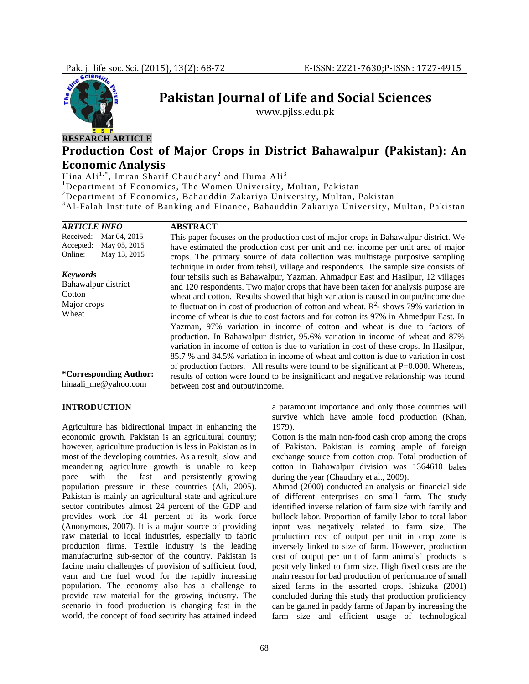

**Pakistan Journal of Life and Social Sciences**

www.pjlss.edu.pk

## **RESEARCH ARTICLE**

# **Production Cost of Major Crops in District Bahawalpur (Pakistan): An Economic Analysis**

Hina Ali $^{1,\ast},$  Imran Sharif Chaudhary $^2$  and Huma Ali $^3$ 

<sup>1</sup>Department of Economics, The Women University, Multan, Pakistan

<sup>2</sup> Department of Economics, Bahauddin Zakariya University, Multan, Pakistan 3.41 Ealah Institute of Banking and Einange, Bahauddin Zakariya University

Al-Falah Institute of Banking and Finance, Bahauddin Zakariya University, Multan, Pakistan

| <b>ARTICLE INFO</b>                                                               | <b>ABSTRACT</b>                                                                                                                                                                                                                                                                                                                                                                                                                                                                                                                                                                                                                                                                                                                                                                                                                                                                         |
|-----------------------------------------------------------------------------------|-----------------------------------------------------------------------------------------------------------------------------------------------------------------------------------------------------------------------------------------------------------------------------------------------------------------------------------------------------------------------------------------------------------------------------------------------------------------------------------------------------------------------------------------------------------------------------------------------------------------------------------------------------------------------------------------------------------------------------------------------------------------------------------------------------------------------------------------------------------------------------------------|
| Received:<br>Mar 04, 2015<br>May 05, 2015<br>Accepted:<br>May 13, 2015<br>Online: | This paper focuses on the production cost of major crops in Bahawalpur district. We<br>have estimated the production cost per unit and net income per unit area of major<br>crops. The primary source of data collection was multistage purposive sampling                                                                                                                                                                                                                                                                                                                                                                                                                                                                                                                                                                                                                              |
| <b>Keywords</b><br>Bahawalpur district<br>Cotton<br>Major crops<br>Wheat          | technique in order from tehsil, village and respondents. The sample size consists of<br>four tehsils such as Bahawalpur, Yazman, Ahmadpur East and Hasilpur, 12 villages<br>and 120 respondents. Two major crops that have been taken for analysis purpose are<br>wheat and cotton. Results showed that high variation is caused in output/income due<br>to fluctuation in cost of production of cotton and wheat. $R^2$ - shows 79% variation in<br>income of wheat is due to cost factors and for cotton its 97% in Ahmedpur East. In<br>Yazman, 97% variation in income of cotton and wheat is due to factors of<br>production. In Bahawalpur district, 95.6% variation in income of wheat and 87%<br>variation in income of cotton is due to variation in cost of these crops. In Hasilpur,<br>85.7 % and 84.5% variation in income of wheat and cotton is due to variation in cost |
| *Corresponding Author:<br>hinaali_me@yahoo.com                                    | of production factors. All results were found to be significant at P=0.000. Whereas,<br>results of cotton were found to be insignificant and negative relationship was found<br>between cost and output/income.                                                                                                                                                                                                                                                                                                                                                                                                                                                                                                                                                                                                                                                                         |

#### **INTRODUCTION**

Agriculture has bidirectional impact in enhancing the economic growth. Pakistan is an agricultural country; however, agriculture production is less in Pakistan as in most of the developing countries. As a result, slow and meandering agriculture growth is unable to keep pace with the fast and persistently growing population pressure in these countries (Ali, 2005). Pakistan is mainly an agricultural state and agriculture sector contributes almost 24 percent of the GDP and provides work for 41 percent of its work force (Anonymous, 2007). It is a major source of providing raw material to local industries, especially to fabric production firms. Textile industry is the leading manufacturing sub-sector of the country. Pakistan is facing main challenges of provision of sufficient food, yarn and the fuel wood for the rapidly increasing population. The economy also has a challenge to provide raw material for the growing industry. The scenario in food production is changing fast in the world, the concept of food security has attained indeed

a paramount importance and only those countries will survive which have ample food production (Khan, 1979).

Cotton is the main non-food cash crop among the crops of Pakistan. Pakistan is earning ample of foreign exchange source from cotton crop. Total production of cotton in Bahawalpur division was 1364610 bales during the year (Chaudhry et al., 2009).

Ahmad (2000) conducted an analysis on financial side of different enterprises on small farm. The study identified inverse relation of farm size with family and bullock labor. Proportion of family labor to total labor input was negatively related to farm size. The production cost of output per unit in crop zone is inversely linked to size of farm. However, production cost of output per unit of farm animals' products is positively linked to farm size. High fixed costs are the main reason for bad production of performance of small sized farms in the assorted crops. Ishizuka (2001) concluded during this study that production proficiency can be gained in paddy farms of Japan by increasing the farm size and efficient usage of technological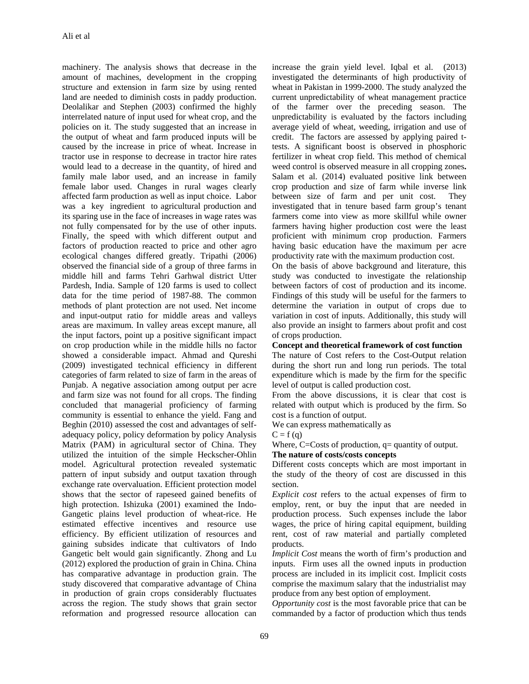machinery. The analysis shows that decrease in the amount of machines, development in the cropping structure and extension in farm size by using rented land are needed to diminish costs in paddy production. Deolalikar and Stephen (2003) confirmed the highly interrelated nature of input used for wheat crop, and the policies on it. The study suggested that an increase in the output of wheat and farm produced inputs will be caused by the increase in price of wheat. Increase in tractor use in response to decrease in tractor hire rates would lead to a decrease in the quantity, of hired and family male labor used, and an increase in family female labor used. Changes in rural wages clearly affected farm production as well as input choice. Labor was a key ingredient to agricultural production and its sparing use in the face of increases in wage rates was not fully compensated for by the use of other inputs. Finally, the speed with which different output and factors of production reacted to price and other agro ecological changes differed greatly. Tripathi (2006) observed the financial side of a group of three farms in middle hill and farms Tehri Garhwal district Utter Pardesh, India. Sample of 120 farms is used to collect data for the time period of 1987-88. The common methods of plant protection are not used. Net income and input-output ratio for middle areas and valleys areas are maximum. In valley areas except manure, all the input factors, point up a positive significant impact on crop production while in the middle hills no factor showed a considerable impact. Ahmad and Qureshi (2009) investigated technical efficiency in different categories of farm related to size of farm in the areas of Punjab. A negative association among output per acre and farm size was not found for all crops. The finding concluded that managerial proficiency of farming community is essential to enhance the yield. Fang and Beghin (2010) assessed the cost and advantages of selfadequacy policy, policy deformation by policy Analysis Matrix (PAM) in agricultural sector of China. They utilized the intuition of the simple Heckscher-Ohlin model. Agricultural protection revealed systematic pattern of input subsidy and output taxation through exchange rate overvaluation. Efficient protection model shows that the sector of rapeseed gained benefits of high protection. Ishizuka (2001) examined the Indo-Gangetic plains level production of wheat-rice. He estimated effective incentives and resource use efficiency. By efficient utilization of resources and gaining subsides indicate that cultivators of Indo Gangetic belt would gain significantly. Zhong and Lu (2012) explored the production of grain in China. China has comparative advantage in production grain. The study discovered that comparative advantage of China in production of grain crops considerably fluctuates across the region. The study shows that grain sector reformation and progressed resource allocation can

increase the grain yield level. Iqbal et al.(2013) investigated the determinants of high productivity of wheat in Pakistan in 1999-2000. The study analyzed the current unpredictability of wheat management practice of the farmer over the preceding season. The unpredictability is evaluated by the factors including average yield of wheat, weeding, irrigation and use of credit. The factors are assessed by applying paired ttests. A significant boost is observed in phosphoric fertilizer in wheat crop field. This method of chemical weed control is observed measure in all cropping zones**.** Salam et al. (2014) evaluated positive link between crop production and size of farm while inverse link between size of farm and per unit cost. They investigated that in tenure based farm group's tenant farmers come into view as more skillful while owner farmers having higher production cost were the least proficient with minimum crop production. Farmers having basic education have the maximum per acre productivity rate with the maximum production cost.

On the basis of above background and literature, this study was conducted to investigate the relationship between factors of cost of production and its income. Findings of this study will be useful for the farmers to determine the variation in output of crops due to variation in cost of inputs. Additionally, this study will also provide an insight to farmers about profit and cost of crops production.

#### **Concept and theoretical framework of cost function**

The nature of Cost refers to the Cost-Output relation during the short run and long run periods. The total expenditure which is made by the firm for the specific level of output is called production cost.

From the above discussions, it is clear that cost is related with output which is produced by the firm. So cost is a function of output.

We can express mathematically as

#### $C = f(q)$

Where, C=Costs of production, q= quantity of output.

#### **The nature of costs/costs concepts**

Different costs concepts which are most important in the study of the theory of cost are discussed in this section.

*Explicit cost* refers to the actual expenses of firm to employ, rent, or buy the input that are needed in production process. Such expenses include the labor wages, the price of hiring capital equipment, building rent, cost of raw material and partially completed products.

*Implicit Cost* means the worth of firm's production and inputs. Firm uses all the owned inputs in production process are included in its implicit cost. Implicit costs comprise the maximum salary that the industrialist may produce from any best option of employment.

*Opportunity cost* is the most favorable price that can be commanded by a factor of production which thus tends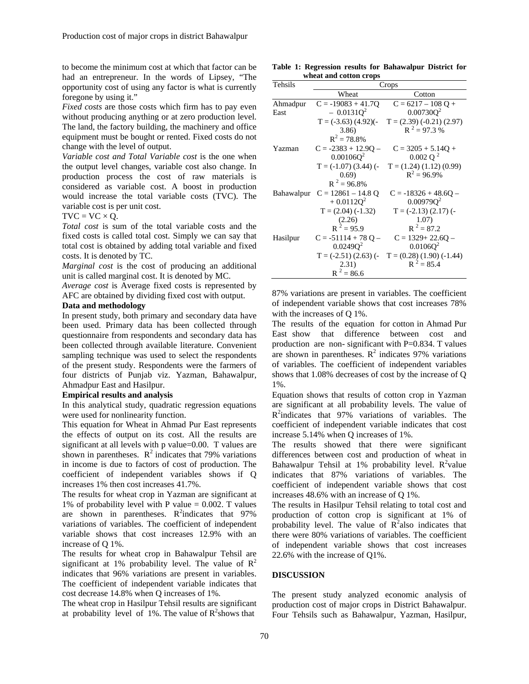to become the minimum cost at which that factor can be had an entrepreneur. In the words of Lipsey, "The opportunity cost of using any factor is what is currently foregone by using it."

*Fixed costs* are those costs which firm has to pay even without producing anything or at zero production level. The land, the factory building, the machinery and office equipment must be bought or rented. Fixed costs do not change with the level of output.

*Variable cost and Total Variable cost* is the one when the output level changes, variable cost also change. In production process the cost of raw materials is considered as variable cost. A boost in production would increase the total variable costs (TVC). The variable cost is per unit cost.

 $TVC = VC \times Q$ .

*Total cost* is sum of the total variable costs and the fixed costs is called total cost. Simply we can say that total cost is obtained by adding total variable and fixed costs. It is denoted by TC.

*Marginal cost* is the cost of producing an additional unit is called marginal cost. It is denoted by MC.

*Average cost* is Average fixed costs is represented by AFC are obtained by dividing fixed cost with output.

#### **Data and methodology**

In present study, both primary and secondary data have been used. Primary data has been collected through questionnaire from respondents and secondary data has been collected through available literature. Convenient sampling technique was used to select the respondents of the present study. Respondents were the farmers of four districts of Punjab viz. Yazman, Bahawalpur, Ahmadpur East and Hasilpur.

### **Empirical results and analysis**

In this analytical study, quadratic regression equations were used for nonlinearity function.

This equation for Wheat in Ahmad Pur East represents the effects of output on its cost. All the results are significant at all levels with p value=0.00. T values are shown in parentheses.  $R^2$  indicates that 79% variations in income is due to factors of cost of production. The coefficient of independent variables shows if Q increases 1% then cost increases 41.7%.

The results for wheat crop in Yazman are significant at 1% of probability level with P value  $= 0.002$ . T values are shown in parentheses.  $R^2$  indicates that 97% variations of variables. The coefficient of independent variable shows that cost increases 12.9% with an increase of Q 1%.

The results for wheat crop in Bahawalpur Tehsil are significant at 1% probability level. The value of  $\mathbb{R}^2$ indicates that 96% variations are present in variables. The coefficient of independent variable indicates that cost decrease 14.8% when Q increases of 1%.

The wheat crop in Hasilpur Tehsil results are significant at probability level of 1%. The value of  $\mathbb{R}^2$ shows that

**Table 1: Regression results for Bahawalpur District for wheat and cotton crops** 

| Tehsils    | Crops                   |                             |  |
|------------|-------------------------|-----------------------------|--|
|            | Wheat                   | Cotton                      |  |
| Ahmadpur   | $C = -19083 + 41.7Q$    | $C = 6217 - 108 Q +$        |  |
| East       | $-0.0131Q^2$            | $0.00730Q^2$                |  |
|            | $T = (-3.63) (4.92)$ (- | $T = (2.39) (-0.21) (2.97)$ |  |
|            | 3.86                    | $R^2 = 97.3 %$              |  |
|            | $R^2 = 78.8\%$          |                             |  |
| Yazman     | $C = -2383 + 12.9Q -$   | $C = 3205 + 5.14Q +$        |  |
|            | 0.00106Q <sup>2</sup>   | $0.002$ Q <sup>2</sup>      |  |
|            | $T = (-1.07) (3.44)$ (- | $T = (1.24) (1.12) (0.99)$  |  |
|            | (0.69)                  | $R^2 = 96.9\%$              |  |
|            | $R^2 = 96.8\%$          |                             |  |
| Bahawalpur | $C = 12861 - 14.8 Q$    | $C = -18326 + 48.6Q -$      |  |
|            | $+0.0112Q^2$            | 0.00979Q <sup>2</sup>       |  |
|            | $T = (2.04) (-1.32)$    | $T = (-2.13) (2.17)$ (-     |  |
|            | (2.26)                  | 1.07)                       |  |
|            | $R^2 = 95.9$            | $R^2 = 87.2$                |  |
| Hasilpur   | $C = -51114 + 78Q -$    | $C = 1329 + 22.6Q -$        |  |
|            | 0.0249Q <sup>2</sup>    | $0.0106Q^2$                 |  |
|            | $T = (-2.51) (2.63)$ (- | $T = (0.28) (1.90) (-1.44)$ |  |
|            | 2.31)                   | $R^2 = 85.4$                |  |
|            | $R^2 = 86.6$            |                             |  |

87% variations are present in variables. The coefficient of independent variable shows that cost increases 78% with the increases of Q 1%.

The results of the equation for cotton in Ahmad Pur East show that difference between cost and production are non- significant with  $P=0.834$ . T values are shown in parentheses.  $\mathbb{R}^2$  indicates 97% variations of variables. The coefficient of independent variables shows that 1.08% decreases of cost by the increase of Q 1%.

Equation shows that results of cotton crop in Yazman are significant at all probability levels. The value of  $R<sup>2</sup>$ indicates that 97% variations of variables. The coefficient of independent variable indicates that cost increase 5.14% when Q increases of 1%.

The results showed that there were significant differences between cost and production of wheat in Bahawalpur Tehsil at 1% probability level.  $R^2$ value indicates that 87% variations of variables. The coefficient of independent variable shows that cost increases 48.6% with an increase of Q 1%.

The results in Hasilpur Tehsil relating to total cost and production of cotton crop is significant at 1% of probability level. The value of  $\overline{R}^2$  also indicates that there were 80% variations of variables. The coefficient of independent variable shows that cost increases 22.6% with the increase of Q1%.

#### **DISCUSSION**

The present study analyzed economic analysis of production cost of major crops in District Bahawalpur. Four Tehsils such as Bahawalpur, Yazman, Hasilpur,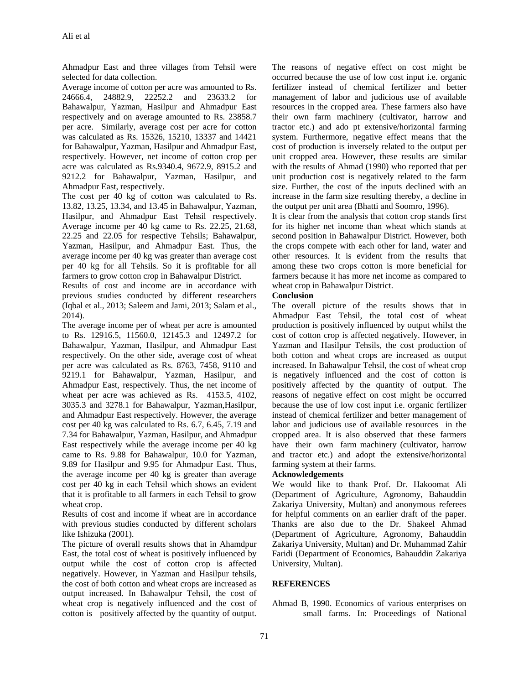Ahmadpur East and three villages from Tehsil were selected for data collection.

Average income of cotton per acre was amounted to Rs. 24666.4, 24882.9, 22252.2 and 23633.2 for Bahawalpur, Yazman, Hasilpur and Ahmadpur East respectively and on average amounted to Rs. 23858.7 per acre. Similarly, average cost per acre for cotton was calculated as Rs. 15326, 15210, 13337 and 14421 for Bahawalpur, Yazman, Hasilpur and Ahmadpur East, respectively. However, net income of cotton crop per acre was calculated as Rs.9340.4, 9672.9, 8915.2 and 9212.2 for Bahawalpur, Yazman, Hasilpur, and Ahmadpur East, respectively.

The cost per 40 kg of cotton was calculated to Rs. 13.82, 13.25, 13.34, and 13.45 in Bahawalpur, Yazman, Hasilpur, and Ahmadpur East Tehsil respectively. Average income per 40 kg came to Rs. 22.25, 21.68, 22.25 and 22.05 for respective Tehsils; Bahawalpur, Yazman, Hasilpur, and Ahmadpur East. Thus, the average income per 40 kg was greater than average cost per 40 kg for all Tehsils. So it is profitable for all farmers to grow cotton crop in Bahawalpur District.

Results of cost and income are in accordance with previous studies conducted by different researchers (Iqbal et al., 2013; Saleem and Jami, 2013; Salam et al., 2014).

The average income per of wheat per acre is amounted to Rs. 12916.5, 11560.0, 12145.3 and 12497.2 for Bahawalpur, Yazman, Hasilpur, and Ahmadpur East respectively. On the other side, average cost of wheat per acre was calculated as Rs. 8763, 7458, 9110 and 9219.1 for Bahawalpur, Yazman, Hasilpur, and Ahmadpur East, respectively. Thus, the net income of wheat per acre was achieved as Rs. 4153.5, 4102, 3035.3 and 3278.1 for Bahawalpur, Yazman,Hasilpur, and Ahmadpur East respectively. However, the average cost per 40 kg was calculated to Rs. 6.7, 6.45, 7.19 and 7.34 for Bahawalpur, Yazman, Hasilpur, and Ahmadpur East respectively while the average income per 40 kg came to Rs. 9.88 for Bahawalpur, 10.0 for Yazman, 9.89 for Hasilpur and 9.95 for Ahmadpur East. Thus, the average income per 40 kg is greater than average cost per 40 kg in each Tehsil which shows an evident that it is profitable to all farmers in each Tehsil to grow wheat crop.

Results of cost and income if wheat are in accordance with previous studies conducted by different scholars like Ishizuka (2001).

The picture of overall results shows that in Ahamdpur East, the total cost of wheat is positively influenced by output while the cost of cotton crop is affected negatively. However, in Yazman and Hasilpur tehsils, the cost of both cotton and wheat crops are increased as output increased. In Bahawalpur Tehsil, the cost of wheat crop is negatively influenced and the cost of cotton is positively affected by the quantity of output.

The reasons of negative effect on cost might be occurred because the use of low cost input i.e. organic fertilizer instead of chemical fertilizer and better management of labor and judicious use of available resources in the cropped area. These farmers also have their own farm machinery (cultivator, harrow and tractor etc.) and ado pt extensive/horizontal farming system. Furthermore, negative effect means that the cost of production is inversely related to the output per unit cropped area. However, these results are similar with the results of Ahmad (1990) who reported that per unit production cost is negatively related to the farm size. Further, the cost of the inputs declined with an increase in the farm size resulting thereby, a decline in the output per unit area (Bhatti and Soomro, 1996).

It is clear from the analysis that cotton crop stands first for its higher net income than wheat which stands at second position in Bahawalpur District. However, both the crops compete with each other for land, water and other resources. It is evident from the results that among these two crops cotton is more beneficial for farmers because it has more net income as compared to wheat crop in Bahawalpur District.

### **Conclusion**

The overall picture of the results shows that in Ahmadpur East Tehsil, the total cost of wheat production is positively influenced by output whilst the cost of cotton crop is affected negatively. However, in Yazman and Hasilpur Tehsils, the cost production of both cotton and wheat crops are increased as output increased. In Bahawalpur Tehsil, the cost of wheat crop is negatively influenced and the cost of cotton is positively affected by the quantity of output. The reasons of negative effect on cost might be occurred because the use of low cost input i.e. organic fertilizer instead of chemical fertilizer and better management of labor and judicious use of available resources in the cropped area. It is also observed that these farmers have their own farm machinery (cultivator, harrow and tractor etc.) and adopt the extensive/horizontal farming system at their farms.

#### **Acknowledgements**

We would like to thank Prof. Dr. Hakoomat Ali (Department of Agriculture, Agronomy, Bahauddin Zakariya University, Multan) and anonymous referees for helpful comments on an earlier draft of the paper. Thanks are also due to the Dr. Shakeel Ahmad (Department of Agriculture, Agronomy, Bahauddin Zakariya University, Multan) and Dr. Muhammad Zahir Faridi (Department of Economics, Bahauddin Zakariya University, Multan).

## **REFERENCES**

Ahmad B, 1990. Economics of various enterprises on small farms. In: Proceedings of National